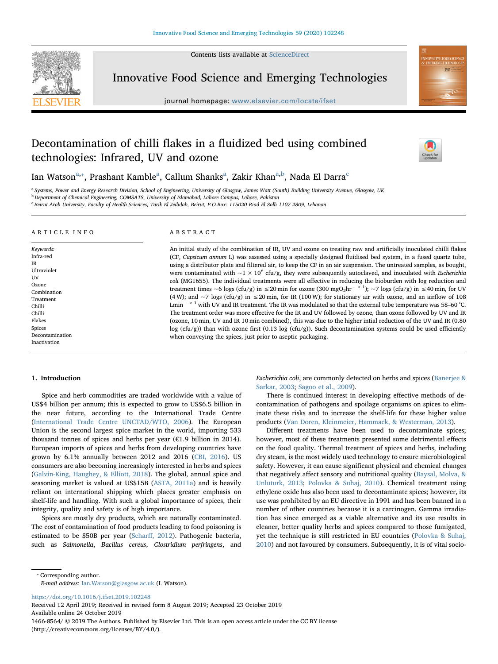Contents lists available at [ScienceDirect](http://www.sciencedirect.com/science/journal/14668564)



Innovative Food Science and Emerging Technologies

journal homepage: [www.elsevier.com/locate/ifset](https://www.elsevier.com/locate/ifset)

# Decontamination of chilli flakes in a fluidized bed using combined technologies: Infrared, UV and ozone



**OVATIVE FOOD SCIEN** 

I[a](#page-0-0)n Watson $^{\mathrm{a},*}$ , Prashant Kam[b](#page-0-2)le $^{\mathrm{a}}$ , Callum Shanks $^{\mathrm{a}}$ , Zakir Khan $^{\mathrm{a},\mathrm{b}}$ , Nada El Darra $^{\mathrm{c}}$  $^{\mathrm{c}}$  $^{\mathrm{c}}$ 

<span id="page-0-0"></span><sup>a</sup> Systems, Power and Energy Research Division, School of Engineering, University of Glasgow, James Watt (South) Building University Avenue, Glasgow, UK

<span id="page-0-2"></span><sup>b</sup> Department of Chemical Engineering, COMSATS, University of Islamabad, Lahore Campus, Lahore, Pakistan

<span id="page-0-3"></span><sup>c</sup> Beirut Arab University, Faculty of Health Sciences, Tarik El Jedidah, Beirut, P.O.Box: 115020 Riad El Solh 1107 2809, Lebanon

# ARTICLE INFO

Keywords: Infra-red IR Ultraviolet **IIV** Ozone **Combination** Treatment Chilli Chilli Flakes Spices Decontamination Inactivation

ABSTRACT

An initial study of the combination of IR, UV and ozone on treating raw and artificially inoculated chilli flakes (CF, Capsicum annum L) was assessed using a specially designed fluidised bed system, in a fused quartz tube, using a distributor plate and filtered air, to keep the CF in an air suspension. The untreated samples, as bought, were contaminated with  $\sim$ 1 × 10<sup>6</sup> cfu/g, they were subsequently autoclaved, and inoculated with *Escherichia* coli (MG1655). The individual treatments were all effective in reducing the bioburden with log reduction and treatment times ~6 logs (cfu/g) in ≤20 min for ozone (300 mgO<sub>3</sub>hr<sup>- > 1</sup>); ~7 logs (cfu/g) in ≤40 min, for UV (4 W); and  $\sim$ 7 logs (cfu/g) in  $\leq$ 20 min, for IR (100 W); for stationary air with ozone, and an airflow of 108 Lmin<sup>−</sup> > 1 with UV and IR treatment. The IR was modulated so that the external tube temperature was 58–60 °C. The treatment order was more effective for the IR and UV followed by ozone, than ozone followed by UV and IR (ozone, 10 min, UV and IR 10 min combined), this was due to the higher intial reduction of the UV and IR (0.80 log (cfu/g)) than with ozone first (0.13 log (cfu/g)). Such decontamination systems could be used efficiently when conveying the spices, just prior to aseptic packaging.

#### 1. Introduction

Spice and herb commodities are traded worldwide with a value of US\$4 billion per annum; this is expected to grow to US\$6.5 billion in the near future, according to the International Trade Centre ([International Trade Centre UNCTAD/WTO, 2006\)](#page-7-0). The European Union is the second largest spice market in the world, importing 533 thousand tonnes of spices and herbs per year (€1.9 billion in 2014). European imports of spices and herbs from developing countries have grown by 6.1% annually between 2012 and 2016 ([CBI, 2016](#page-6-0)). US consumers are also becoming increasingly interested in herbs and spices ([Galvin-King, Haughey, & Elliott, 2018](#page-6-1)). The global, annual spice and seasoning market is valued at US\$15B ([ASTA, 2011a](#page-6-2)) and is heavily reliant on international shipping which places greater emphasis on shelf-life and handling. With such a global importance of spices, their integrity, quality and safety is of high importance.

Spices are mostly dry products, which are naturally contaminated. The cost of contamination of food products leading to food poisoning is estimated to be \$50B per year (Scharff[, 2012](#page-7-1)). Pathogenic bacteria, such as Salmonella, Bacillus cereus, Clostridium perfringens, and Escherichia coli, are commonly detected on herbs and spices [\(Banerjee &](#page-6-3) [Sarkar, 2003](#page-6-3); [Sagoo et al., 2009\)](#page-7-2).

There is continued interest in developing effective methods of decontamination of pathogens and spoilage organisms on spices to eliminate these risks and to increase the shelf-life for these higher value products ([Van Doren, Kleinmeier, Hammack, & Westerman, 2013](#page-7-3)).

Different treatments have been used to decontaminate spices; however, most of these treatments presented some detrimental effects on the food quality. Thermal treatment of spices and herbs, including dry steam, is the most widely used technology to ensure microbiological safety. However, it can cause significant physical and chemical changes that negatively affect sensory and nutritional quality [\(Baysal, Molva, &](#page-6-4) [Unluturk, 2013](#page-6-4); [Polovka & Suhaj, 2010](#page-7-4)). Chemical treatment using ethylene oxide has also been used to decontaminate spices; however, its use was prohibited by an EU directive in 1991 and has been banned in a number of other countries because it is a carcinogen. Gamma irradiation has since emerged as a viable alternative and its use results in cleaner, better quality herbs and spices compared to those fumigated, yet the technique is still restricted in EU countries ([Polovka & Suhaj,](#page-7-4) [2010\)](#page-7-4) and not favoured by consumers. Subsequently, it is of vital socio-

<span id="page-0-1"></span>⁎ Corresponding author.

E-mail address: [Ian.Watson@glasgow.ac.uk](mailto:Ian.Watson@glasgow.ac.uk) (I. Watson).

<https://doi.org/10.1016/j.ifset.2019.102248>

Received 12 April 2019; Received in revised form 8 August 2019; Accepted 23 October 2019 Available online 24 October 2019 1466-8564/ © 2019 The Authors. Published by Elsevier Ltd. This is an open access article under the CC BY license (http://creativecommons.org/licenses/BY/4.0/).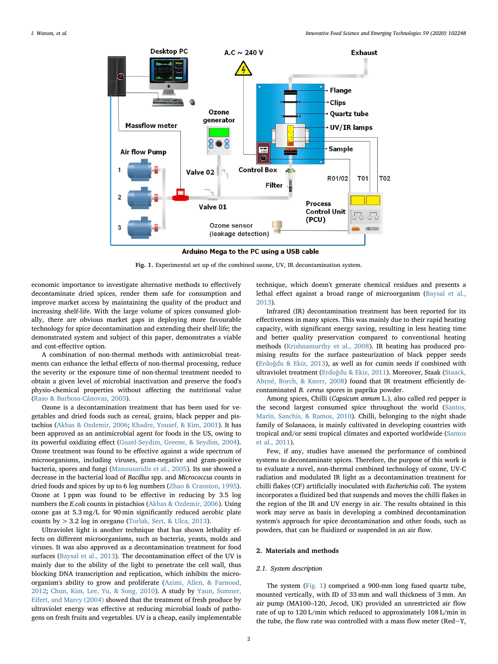<span id="page-1-0"></span>

Fig. 1. Experimental set up of the combined ozone, UV, IR decontamination system.

economic importance to investigate alternative methods to effectively decontaminate dried spices, render them safe for consumption and improve market access by maintaining the quality of the product and increasing shelf-life. With the large volume of spices consumed globally, there are obvious market gaps in deploying more favourable technology for spice decontamination and extending their shelf-life; the demonstrated system and subject of this paper, demonstrates a viable and cost-effective option.

A combination of non-thermal methods with antimicrobial treatments can enhance the lethal effects of non-thermal processing, reduce the severity or the exposure time of non-thermal treatment needed to obtain a given level of microbial inactivation and preserve the food's physio-chemical properties without affecting the nutritional value ([Raso & Barbosa-Cánovas, 2003\)](#page-7-5).

Ozone is a decontamination treatment that has been used for vegetables and dried foods such as cereal, grains, black pepper and pistachios [\(Akbas & Ozdemir, 2006](#page-6-5); [Khadre, Yousef, & Kim, 2001](#page-7-6)). It has been approved as an antimicrobial agent for foods in the US, owing to its powerful oxidizing effect [\(Guzel-Seydim, Greene, & Seydim, 2004](#page-6-6)). Ozone treatment was found to be effective against a wide spectrum of microorganisms, including viruses, gram-negative and gram-positive bacteria, spores and fungi ([Manousaridis et al., 2005](#page-7-7)). Its use showed a decrease in the bacterial load of Bacillus spp. and Micrococcus counts in dried foods and spices by up to 6 log numbers ([Zhao & Cranston, 1995](#page-7-8)). Ozone at 1 ppm was found to be effective in reducing by 3.5 log numbers the E.coli counts in pistachios ([Akbas & Ozdemir, 2006](#page-6-5)). Using ozone gas at 5.3 mg/L for 90 min significantly reduced aerobic plate counts by > 3.2 log in oregano [\(Torlak, Sert, & Ulca, 2013\)](#page-7-9).

Ultraviolet light is another technique that has shown lethality effects on different microorganisms, such as bacteria, yeasts, molds and viruses. It was also approved as a decontamination treatment for food surfaces ([Baysal et al., 2013\)](#page-6-4). The decontamination effect of the UV is mainly due to the ability of the light to penetrate the cell wall, thus blocking DNA transcription and replication, which inhibits the microorganism's ability to grow and proliferate [\(Azimi, Allen, & Farnood,](#page-6-7) [2012;](#page-6-7) [Chun, Kim, Lee, Yu, & Song, 2010](#page-6-8)). A study by [Yaun, Sumner,](#page-7-10) [Eifert, and Marcy \(2004\)](#page-7-10) showed that the treatment of fresh produce by ultraviolet energy was effective at reducing microbial loads of pathogens on fresh fruits and vegetables. UV is a cheap, easily implementable

technique, which doesn't generate chemical residues and presents a lethal effect against a broad range of microorganism ([Baysal et al.,](#page-6-4) [2013\)](#page-6-4).

Infrared (IR) decontamination treatment has been reported for its effectiveness in many spices. This was mainly due to their rapid heating capacity, with significant energy saving, resulting in less heating time and better quality preservation compared to conventional heating methods [\(Krishnamurthy et al., 2008\)](#page-7-11). IR heating has produced promising results for the surface pasteurization of black pepper seeds (Erdoǧ[du & Ekiz, 2013](#page-6-9)), as well as for cumin seeds if combined with ultraviolet treatment (Erdoǧ[du & Ekiz, 2011](#page-6-10)). Moreover, Staak [\(Staack,](#page-7-12) [Ahrné, Borch, & Knorr, 2008](#page-7-12)) found that IR treatment efficiently decontaminated B. cereus spores in paprika powder.

Among spices, Chilli (Capsicum annum L.), also called red pepper is the second largest consumed spice throughout the world [\(Santos,](#page-7-13) [Marín, Sanchis, & Ramos, 2010\)](#page-7-13). Chilli, belonging to the night shade family of Solanacea, is mainly cultivated in developing countries with tropical and/or semi tropical climates and exported worldwide ([Santos](#page-7-14) [et al., 2011](#page-7-14)).

Few, if any, studies have assessed the performance of combined systems to decontaminate spices. Therefore, the purpose of this work is to evaluate a novel, non-thermal combined technology of ozone, UV-C radiation and modulated IR light as a decontamination treatment for chilli flakes (CF) artificially inoculated with Escherichia coli. The system incorporates a fluidized bed that suspends and moves the chilli flakes in the region of the IR and UV energy in air. The results obtained in this work may serve as basis in developing a combined decontamination system's approach for spice decontamination and other foods, such as powders, that can be fluidized or suspended in an air flow.

## 2. Materials and methods

## 2.1. System description

The system ([Fig. 1\)](#page-1-0) comprised a 900-mm long fused quartz tube, mounted vertically, with ID of 33 mm and wall thickness of 3 mm. An air pump (MA100–120, Jecod, UK) provided an unrestricted air flow rate of up to 120 L/min which reduced to approximately 108 L/min in the tube, the flow rate was controlled with a mass flow meter (Red-Y,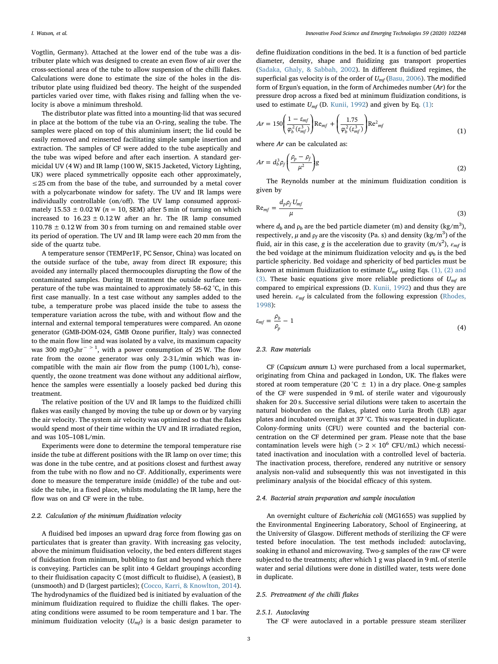Vogtlin, Germany). Attached at the lower end of the tube was a distributer plate which was designed to create an even flow of air over the cross-sectional area of the tube to allow suspension of the chilli flakes. Calculations were done to estimate the size of the holes in the distributor plate using fluidized bed theory. The height of the suspended particles varied over time, with flakes rising and falling when the velocity is above a minimum threshold.

The distributor plate was fitted into a mounting-lid that was secured in place at the bottom of the tube via an O-ring, sealing the tube. The samples were placed on top of this aluminium insert; the lid could be easily removed and reinserted facilitating simple sample insertion and extraction. The samples of CF were added to the tube aseptically and the tube was wiped before and after each insertion. A standard germicidal UV (4 W) and IR lamp (100 W, SK15 Jacketed, Victory Lighting, UK) were placed symmetrically opposite each other approximately, ≤25 cm from the base of the tube, and surrounded by a metal cover with a polycarbonate window for safety. The UV and IR lamps were individually controllable (on/off). The UV lamp consumed approximately  $15.53 \pm 0.02$  W ( $n = 10$ , SEM) after 5 min of turning on which increased to  $16.23 \pm 0.12$  W after an hr. The IR lamp consumed  $110.78 \pm 0.12$  W from 30 s from turning on and remained stable over its period of operation. The UV and IR lamp were each 20 mm from the side of the quartz tube.

A temperature sensor (TEMPer1F, PC Sensor, China) was located on the outside surface of the tube, away from direct IR exposure; this avoided any internally placed thermocouples disrupting the flow of the contaminated samples. During IR treatment the outside surface temperature of the tube was maintained to approximately 58–62 °C, in this first case manually. In a test case without any samples added to the tube, a temperature probe was placed inside the tube to assess the temperature variation across the tube, with and without flow and the internal and external temporal temperatures were compared. An ozone generator (GMB-DOM-024, GMB Ozone purifier, Italy) was connected to the main flow line and was isolated by a valve, its maximum capacity was 300 mgO<sub>3</sub>hr<sup>-> 1</sup>, with a power consumption of 25 W. The flow rate from the ozone generator was only 2-3 L/min which was incompatible with the main air flow from the pump (100 L/h), consequently, the ozone treatment was done without any additional airflow, hence the samples were essentially a loosely packed bed during this treatment.

The relative position of the UV and IR lamps to the fluidized chilli flakes was easily changed by moving the tube up or down or by varying the air velocity. The system air velocity was optimized so that the flakes would spend most of their time within the UV and IR irradiated region, and was 105–108 L/min.

Experiments were done to determine the temporal temperature rise inside the tube at different positions with the IR lamp on over time; this was done in the tube centre, and at positions closest and furthest away from the tube with no flow and no CF. Additionally, experiments were done to measure the temperature inside (middle) of the tube and outside the tube, in a fixed place, whilsts modulating the IR lamp, here the flow was on and CF were in the tube.

## 2.2. Calculation of the minimum fluidization velocity

A fluidised bed imposes an upward drag force from flowing gas on particulates that is greater than gravity. With increasing gas velocity, above the minimum fluidisation velocity, the bed enters different stages of fluidsation from minimum, bubbling to fast and beyond which there is conveying. Particles can be split into 4 Geldart groupings according to their fluidisation capacity C (most difficult to fluidise), A (easiest), B (unsmooth) and D (largest particles); [\(Cocco, Karri, & Knowlton, 2014](#page-6-11)). The hydrodynamics of the fluidized bed is initiated by evaluation of the minimum fluidization required to fluidize the chilli flakes. The operating conditions were assumed to be room temperature and 1 bar. The minimum fluidization velocity  $(U_{mf})$  is a basic design parameter to

define fluidization conditions in the bed. It is a function of bed particle diameter, density, shape and fluidizing gas transport properties ([Sadaka, Ghaly, & Sabbah, 2002](#page-7-15)). In different fluidized regimes, the superficial gas velocity is of the order of  $U_{mf}$  [\(Basu, 2006\)](#page-6-12). The modified form of Ergun's equation, in the form of Archimedes number (Ar) for the pressure drop across a fixed bed at minimum fluidization conditions, is used to estimate  $U_{mf}$  (D. [Kunii, 1992](#page-7-16)) and given by Eq. [\(1\)](#page-2-0):

<span id="page-2-0"></span>
$$
Ar = 150 \left(\frac{1 - \varepsilon_{mf}}{\varphi_b^2(\varepsilon_{mf}^3)}\right) \text{Re}_{mf} + \left(\frac{1.75}{\varphi_b^2(\varepsilon_{mf}^3)}\right) \text{Re}^2_{mf} \tag{1}
$$

where Ar can be calculated as:

$$
Ar = d_b^3 \rho_f \left(\frac{\rho_p - \rho_f}{\mu^2}\right)g\tag{2}
$$

The Reynolds number at the minimum fluidization condition is given by

$$
\text{Re}_{mf} = \frac{d_p \rho_f U_{mf}}{\mu} \tag{3}
$$

where  $d_b$  and  $\rho_b$  are the bed particle diameter (m) and density (kg/m<sup>3</sup>), respectively,  $\mu$  and  $\rho_f$  are the viscosity (Pa. s) and density (kg/m<sup>3</sup>) of the fluid, air in this case, g is the acceleration due to gravity  $(m/s<sup>2</sup>)$ ,  $\varepsilon<sub>mf</sub>$  is the bed voidage at the minimum fluidization velocity and  $\varphi_b$  is the bed particle sphericity. Bed voidage and sphericity of bed particles must be known at minimum fluidization to estimate  $U_{mf}$  using Eqs. [\(1\), \(2\) and](#page-2-0) [\(3\)](#page-2-0). These basic equations give more reliable predictions of  $U_{\text{mf}}$  as compared to empirical expressions (D. [Kunii, 1992\)](#page-7-16) and thus they are used herein.  $\varepsilon_{mf}$  is calculated from the following expression ([Rhodes,](#page-7-17) [1998\)](#page-7-17):

$$
\varepsilon_{mf} = \frac{\rho_b}{\rho_p} - 1 \tag{4}
$$

# 2.3. Raw materials

CF (Capsicum annum L) were purchased from a local supermarket, originating from China and packaged in London, UK. The flakes were stored at room temperature (20 °C  $\pm$  1) in a dry place. One-g samples of the CF were suspended in 9 mL of sterile water and vigourously shaken for 20 s. Successive serial dilutions were taken to ascertain the natural bioburden on the flakes, plated onto Luria Broth (LB) agar plates and incubated overnight at 37 °C. This was repeated in duplicate. Colony-forming units (CFU) were counted and the bacterial concentration on the CF determined per gram. Please note that the base contamination levels were high ( $> 2 \times 10^6$  CFU/mL) which necessitated inactivation and inoculation with a controlled level of bacteria. The inactivation process, therefore, rendered any nutritive or sensory analysis non-valid and subsequently this was not investigated in this preliminary analysis of the biocidal efficacy of this system.

#### 2.4. Bacterial strain preparation and sample inoculation

An overnight culture of Escherichia coli (MG1655) was supplied by the Environmental Engineering Laboratory, School of Engineering, at the University of Glasgow. Different methods of sterilizing the CF were tested before inoculation. The test methods included: autoclaving, soaking in ethanol and microwaving. Two-g samples of the raw CF were subjected to the treatments; after which 1 g was placed in 9 mL of sterile water and serial dilutions were done in distilled water, tests were done in duplicate.

#### 2.5. Pretreatment of the chilli flakes

#### 2.5.1. Autoclaving

The CF were autoclaved in a portable pressure steam sterilizer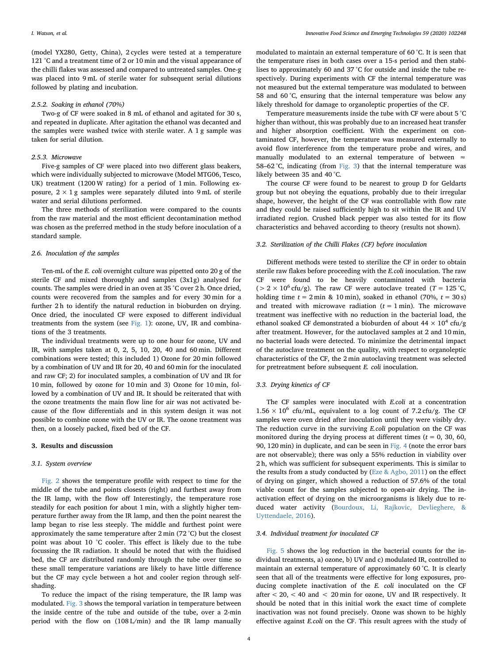(model YX280, Getty, China), 2 cycles were tested at a temperature 121 °C and a treatment time of 2 or 10 min and the visual appearance of the chilli flakes was assessed and compared to untreated samples. One-g was placed into 9 mL of sterile water for subsequent serial dilutions followed by plating and incubation.

#### 2.5.2. Soaking in ethanol (70%)

Two-g of CF were soaked in 8 mL of ethanol and agitated for 30 s, and repeated in duplicate. After agitation the ethanol was decanted and the samples were washed twice with sterile water. A 1 g sample was taken for serial dilution.

#### 2.5.3. Microwave

Five-g samples of CF were placed into two different glass beakers, which were individually subjected to microwave (Model MTG06, Tesco, UK) treatment (1200 W rating) for a period of 1 min. Following exposure,  $2 \times 1$  g samples were separately diluted into 9 mL of sterile water and serial dilutions performed.

The three methods of sterilization were compared to the counts from the raw material and the most efficient decontamination method was chosen as the preferred method in the study before inoculation of a standard sample.

## 2.6. Inoculation of the samples

Ten-mL of the E. coli overnight culture was pipetted onto 20 g of the sterile CF and mixed thoroughly and samples (3x1g) analysed for counts. The samples were dried in an oven at 35 °C over 2 h. Once dried, counts were recovered from the samples and for every 30 min for a further 2 h to identify the natural reduction in bioburden on drying. Once dried, the inoculated CF were exposed to different individual treatments from the system (see [Fig. 1\)](#page-1-0): ozone, UV, IR and combinations of the 3 treatments.

The individual treatments were up to one hour for ozone, UV and IR, with samples taken at 0, 2, 5, 10, 20, 40 and 60 min. Different combinations were tested; this included 1) Ozone for 20 min followed by a combination of UV and IR for 20, 40 and 60 min for the inoculated and raw CF; 2) for inoculated samples, a combination of UV and IR for 10 min, followed by ozone for 10 min and 3) Ozone for 10 min, followed by a combination of UV and IR. It should be reiterated that with the ozone treatments the main flow line for air was not activated because of the flow differentials and in this system design it was not possible to combine ozone with the UV or IR. The ozone treatment was then, on a loosely packed, fixed bed of the CF.

## 3. Results and discussion

#### 3.1. System overview

[Fig. 2](#page-4-0) shows the temperature profile with respect to time for the middle of the tube and points closests (right) and furthest away from the IR lamp, with the flow off Interestingly, the temperature rose steadily for each position for about 1 min, with a slightly higher temperature further away from the IR lamp, and then the point nearest the lamp began to rise less steeply. The middle and furthest point were approximately the same temperature after 2 min (72 °C) but the closest point was about 10 °C cooler. This effect is likely due to the tube focussing the IR radiation. It should be noted that with the fluidised bed, the CF are distributed randomly through the tube over time so these small temperature variations are likely to have little difference but the CF may cycle between a hot and cooler region through selfshading.

To reduce the impact of the rising temperature, the IR lamp was modulated. [Fig. 3](#page-4-1) shows the temporal variation in temperature between the inside centre of the tube and outside of the tube, over a 2-min period with the flow on (108 L/min) and the IR lamp manually modulated to maintain an external temperature of 60 °C. It is seen that the temperature rises in both cases over a 15-s period and then stabilises to approximately 60 and 37 °C for outside and inside the tube respectively. During experiments with CF the internal temperature was not measured but the external temperature was modulated to between 58 and 60 °C, ensuring that the internal temperature was below any likely threshold for damage to organoleptic properties of the CF.

Temperature measurements inside the tube with CF were about 5 °C higher than without, this was probably due to an increased heat transfer and higher absorption coefficient. With the experiment on contaminated CF, however, the temperature was measured externally to avoid flow interference from the temperature probe and wires, and manually modulated to an external temperature of between  $\approx$ 58–62 °C, indicating (from [Fig. 3](#page-4-1)) that the internal temperature was likely between 35 and 40 °C.

The course CF were found to be nearest to group D for Geldarts group but not obeying the equations, probably due to their irregular shape, however, the height of the CF was controllable with flow rate and they could be raised sufficiently high to sit within the IR and UV irradiated region. Crushed black pepper was also tested for its flow characteristics and behaved according to theory (results not shown).

# 3.2. Sterilization of the Chilli Flakes (CF) before inoculation

Different methods were tested to sterilize the CF in order to obtain sterile raw flakes before proceeding with the E.coli inoculation. The raw CF were found to be heavily contaminated with bacteria ( $> 2 \times 10^6$  cfu/g). The raw CF were autoclave treated (T = 125 °C, holding time  $t = 2$  min & 10 min), soaked in ethanol (70%,  $t = 30$  s) and treated with microwave radiation  $(t = 1 \text{ min})$ . The microwave treatment was ineffective with no reduction in the bacterial load, the ethanol soaked CF demonstrated a bioburden of about  $44 \times 10^4$  cfu/g after treatment. However, for the autoclaved samples at 2 and 10 min, no bacterial loads were detected. To minimize the detrimental impact of the autoclave treatment on the quality, with respect to organoleptic characteristics of the CF, the 2 min autoclaving treatment was selected for pretreatment before subsequent E. coli inoculation.

# 3.3. Drying kinetics of CF

The CF samples were inoculated with E.coli at a concentration  $1.56 \times 10^6$  cfu/mL, equivalent to a log count of 7.2 cfu/g. The CF samples were oven dried after inoculation until they were visibly dry. The reduction curve in the surviving E.coli population on the CF was monitored during the drying process at different times ( $t = 0$ , 30, 60, 90, 120 min) in duplicate, and can be seen in [Fig. 4](#page-5-0) (note the error bars are not observable); there was only a 55% reduction in viability over 2 h, which was sufficient for subsequent experiments. This is similar to the results from a study conducted by [\(Eze & Agbo, 2011](#page-6-13)) on the effect of drying on ginger, which showed a reduction of 57.6% of the total viable count for the samples subjected to open-air drying. The inactivation effect of drying on the microorganisms is likely due to reduced water activity ([Bourdoux, Li, Rajkovic, Devlieghere, &](#page-6-14) [Uyttendaele, 2016\)](#page-6-14).

#### 3.4. Individual treatment for inoculated CF

[Fig. 5](#page-5-1) shows the log reduction in the bacterial counts for the individual treatments, a) ozone, b) UV and c) modulated IR, controlled to maintain an external temperature of approximately 60 °C. It is clearly seen that all of the treatments were effective for long exposures, producing complete inactivation of the E. coli inoculated on the CF after  $< 20$ ,  $< 40$  and  $< 20$  min for ozone, UV and IR respectively. It should be noted that in this initial work the exact time of complete inactivation was not found precisely. Ozone was shown to be highly effective against E.coli on the CF. This result agrees with the study of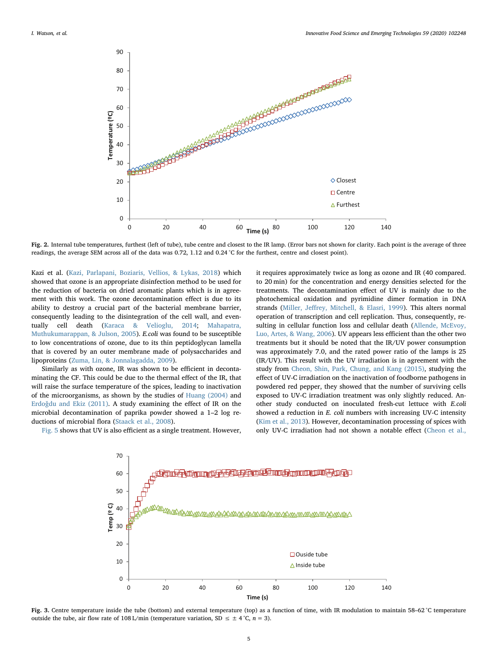<span id="page-4-0"></span>

Fig. 2. Internal tube temperatures, furthest (left of tube), tube centre and closest to the IR lamp. (Error bars not shown for clarity. Each point is the average of three readings, the average SEM across all of the data was 0.72, 1.12 and 0.24 °C for the furthest, centre and closest point).

Kazi et al. [\(Kazi, Parlapani, Boziaris, Vellios, & Lykas, 2018](#page-7-18)) which showed that ozone is an appropriate disinfection method to be used for the reduction of bacteria on dried aromatic plants which is in agreement with this work. The ozone decontamination effect is due to its ability to destroy a crucial part of the bacterial membrane barrier, consequently leading to the disintegration of the cell wall, and eventually cell death ([Karaca & Velioglu, 2014;](#page-7-19) [Mahapatra,](#page-7-20) [Muthukumarappan, & Julson, 2005\)](#page-7-20). E.coli was found to be susceptible to low concentrations of ozone, due to its thin peptidoglycan lamella that is covered by an outer membrane made of polysaccharides and lipoproteins [\(Zuma, Lin, & Jonnalagadda, 2009](#page-7-21)).

Similarly as with ozone, IR was shown to be efficient in decontaminating the CF. This could be due to the thermal effect of the IR, that will raise the surface temperature of the spices, leading to inactivation of the microorganisms, as shown by the studies of [Huang \(2004\)](#page-7-22) and Erdoǧ[du and Ekiz \(2011\)](#page-6-10). A study examining the effect of IR on the microbial decontamination of paprika powder showed a 1–2 log reductions of microbial flora [\(Staack et al., 2008](#page-7-12)).

<span id="page-4-1"></span>[Fig. 5](#page-5-1) shows that UV is also efficient as a single treatment. However,

it requires approximately twice as long as ozone and IR (40 compared. to 20 min) for the concentration and energy densities selected for the treatments. The decontamination effect of UV is mainly due to the photochemical oxidation and pyrimidine dimer formation in DNA strands (Miller, Jeff[rey, Mitchell, & Elasri, 1999](#page-7-23)). This alters normal operation of transcription and cell replication. Thus, consequently, resulting in cellular function loss and cellular death ([Allende, McEvoy,](#page-6-15) [Luo, Artes, & Wang, 2006\)](#page-6-15). UV appears less efficient than the other two treatments but it should be noted that the IR/UV power consumption was approximately 7.0, and the rated power ratio of the lamps is 25 (IR/UV). This result with the UV irradiation is in agreement with the study from [Cheon, Shin, Park, Chung, and Kang \(2015\),](#page-6-16) studying the effect of UV-C irradiation on the inactivation of foodborne pathogens in powdered red pepper, they showed that the number of surviving cells exposed to UV-C irradiation treatment was only slightly reduced. Another study conducted on inoculated fresh-cut lettuce with E.coli showed a reduction in E. coli numbers with increasing UV-C intensity ([Kim et al., 2013\)](#page-7-24). However, decontamination processing of spices with only UV-C irradiation had not shown a notable effect ([Cheon et al.,](#page-6-16)



Fig. 3. Centre temperature inside the tube (bottom) and external temperature (top) as a function of time, with IR modulation to maintain 58–62 °C temperature outside the tube, air flow rate of 108 L/min (temperature variation, SD  $\leq \pm 4$  °C,  $n = 3$ ).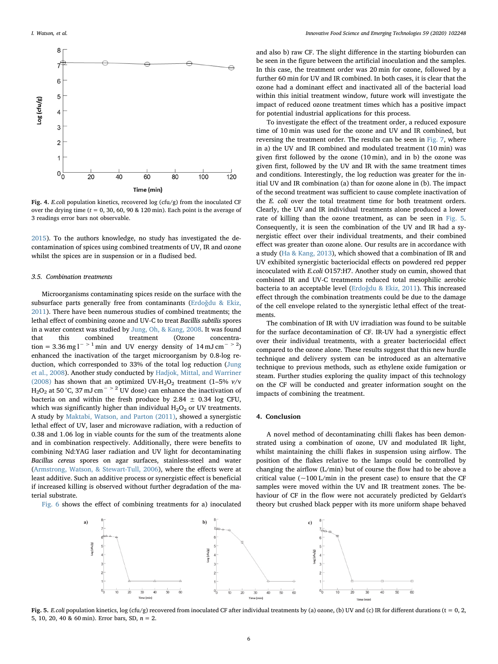<span id="page-5-0"></span>

Fig. 4. E.coli population kinetics, recovered log (cfu/g) from the inoculated CF over the drying time ( $t = 0, 30, 60, 90$  & 120 min). Each point is the average of 3 readings error bars not observable.

[2015\)](#page-6-16). To the authors knowledge, no study has investigated the decontamination of spices using combined treatments of UV, IR and ozone whilst the spices are in suspension or in a fludised bed.

## 3.5. Combination treatments

Microorganisms contaminating spices reside on the surface with the subsurface parts generally free from contaminants (Erdoǧ[du & Ekiz,](#page-6-10) [2011\)](#page-6-10). There have been numerous studies of combined treatments; the lethal effect of combining ozone and UV-C to treat Bacillis subtilis spores in a water context was studied by [Jung, Oh, & Kang, 2008.](#page-7-25) It was found that this combined treatment (Ozone concentration = 3.36 mg l<sup>- > 1</sup> min and UV energy density of  $14 \text{ mJ cm}$ <sup>- > 2</sup>) enhanced the inactivation of the target microorganism by 0.8-log reduction, which corresponded to 33% of the total log reduction ([Jung](#page-7-25) [et al., 2008](#page-7-25)). Another study conducted by [Hadjok, Mittal, and Warriner](#page-7-26) [\(2008\)](#page-7-26) has shown that an optimized UV-H<sub>2</sub>O<sub>2</sub> treatment (1-5%  $v/v$ H<sub>2</sub>O<sub>2</sub> at 50 °C, 37 mJ cm<sup>− > 2</sup> UV dose) can enhance the inactivation of bacteria on and within the fresh produce by 2.84  $\pm$  0.34 log CFU, which was significantly higher than individual  $H_2O_2$  or UV treatments. A study by [Maktabi, Watson, and Parton \(2011\),](#page-7-27) showed a synergistic lethal effect of UV, laser and microwave radiation, with a reduction of 0.38 and 1.06 log in viable counts for the sum of the treatments alone and in combination respectively. Additionally, there were benefits to combining Nd:YAG laser radiation and UV light for decontaminating Bacillus cereus spores on agar surfaces, stainless-steel and water ([Armstrong, Watson, & Stewart-Tull, 2006](#page-6-17)), where the effects were at least additive. Such an additive process or synergistic effect is beneficial if increased killing is observed without further degradation of the material substrate.

<span id="page-5-1"></span>[Fig. 6](#page-6-18) shows the effect of combining treatments for a) inoculated

and also b) raw CF. The slight difference in the starting bioburden can be seen in the figure between the artificial inoculation and the samples. In this case, the treatment order was 20 min for ozone, followed by a further 60 min for UV and IR combined. In both cases, it is clear that the ozone had a dominant effect and inactivated all of the bacterial load within this initial treatment window, future work will investigate the impact of reduced ozone treatment times which has a positive impact for potential industrial applications for this process.

To investigate the effect of the treatment order, a reduced exposure time of 10 min was used for the ozone and UV and IR combined, but reversing the treatment order. The results can be seen in [Fig. 7](#page-6-19), where in a) the UV and IR combined and modulated treatment (10 min) was given first followed by the ozone (10 min), and in b) the ozone was given first, followed by the UV and IR with the same treatment times and conditions. Interestingly, the log reduction was greater for the initial UV and IR combination (a) than for ozone alone in (b). The impact of the second treatment was sufficient to cause complete inactivation of the E. coli over the total treatment time for both treatment orders. Clearly, the UV and IR individual treatments alone produced a lower rate of killing than the ozone treatment, as can be seen in [Fig. 5](#page-5-1). Consequently, it is seen the combination of the UV and IR had a synergistic effect over their individual treatments, and their combined effect was greater than ozone alone. Our results are in accordance with a study [\(Ha & Kang, 2013](#page-6-20)), which showed that a combination of IR and UV exhibited synergistic bacteriocidal effects on powdered red pepper incoculated with E.coli O157:H7. Another study on cumin, showed that combined IR and UV-C treatments reduced total mesophilic aerobic bacteria to an acceptable level (Erdoǧ[du & Ekiz, 2011](#page-6-10)). This increased effect through the combination treatments could be due to the damage of the cell envelope related to the synergistic lethal effect of the treatments.

The combination of IR with UV irradiation was found to be suitable for the surface decontamination of CF. IR-UV had a synergistic effect over their individual treatments, with a greater bacteriocidal effect compared to the ozone alone. These results suggest that this new hurdle technique and delivery system can be introduced as an alternative technique to previous methods, such as ethylene oxide fumigation or steam. Further studies exploring the quality impact of this technology on the CF will be conducted and greater information sought on the impacts of combining the treatment.

## 4. Conclusion

A novel method of decontaminating chilli flakes has been demonstrated using a combination of ozone, UV and modulated IR light, whilst maintaining the chilli flakes in suspension using airflow. The position of the flakes relative to the lamps could be controlled by changing the airflow (L/min) but of course the flow had to be above a critical value  $(-100 \text{ L/min}$  in the present case) to ensure that the CF samples were moved within the UV and IR treatment zones. The behaviour of CF in the flow were not accurately predicted by Geldart's theory but crushed black pepper with its more uniform shape behaved



Fig. 5. E.coli population kinetics, log (cfu/g) recovered from inoculated CF after individual treatments by (a) ozone, (b) UV and (c) IR for different durations (t = 0, 2, 5, 10, 20, 40 & 60 min). Error bars, SD,  $n = 2$ .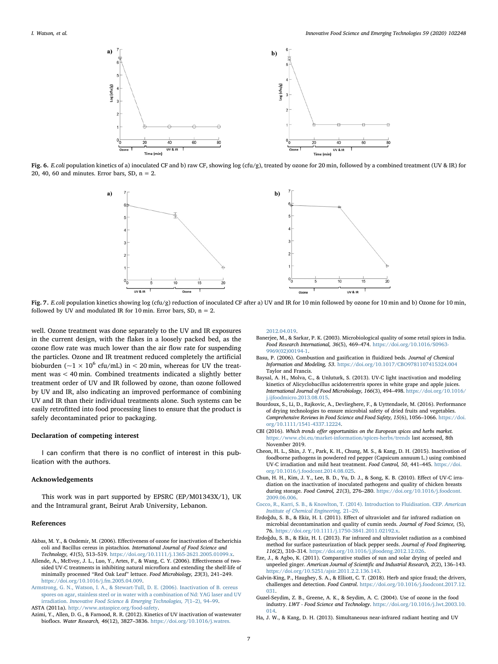<span id="page-6-18"></span>

<span id="page-6-19"></span>Fig. 6. E.coli population kinetics of a) inoculated CF and b) raw CF, showing log (cfu/g), treated by ozone for 20 min, followed by a combined treatment (UV & IR) for 20, 40, 60 and minutes. Error bars, SD,  $n = 2$ .



Fig. 7. E.coli population kinetics showing log (cfu/g) reduction of inoculated CF after a) UV and IR for 10 min followed by ozone for 10 min and b) Ozone for 10 min, followed by UV and modulated IR for 10 min. Error bars, SD,  $n = 2$ .

well. Ozone treatment was done separately to the UV and IR exposures in the current design, with the flakes in a loosely packed bed, as the ozone flow rate was much lower than the air flow rate for suspending the particles. Ozone and IR treatment reduced completely the artificial bioburden ( $\sim$ 1 × 10<sup>6</sup> cfu/mL) in < 20 min, whereas for UV the treatment was < 40 min. Combined treatments indicated a slightly better treatment order of UV and IR followed by ozone, than ozone followed by UV and IR, also indicating an improved performance of combining UV and IR than their individual treatments alone. Such systems can be easily retrofitted into food processing lines to ensure that the product is safely decontaminated prior to packaging.

#### Declaration of competing interest

I can confirm that there is no conflict of interest in this pub-<br>lication with the authors.

## Acknowledgements

This work was in part supported by EPSRC (EP/M01343X/1), UK and the Intramural grant, Beirut Arab University, Lebanon.

# References

- <span id="page-6-5"></span>Akbas, M. Y., & Ozdemir, M. (2006). Effectiveness of ozone for inactivation of Escherichia coli and Bacillus cereus in pistachios. International Journal of Food Science and Technology, 41(5), 513–519. [https://doi.org/10.1111/j.1365-2621.2005.01099.x.](https://doi.org/10.1111/j.1365-2621.2005.01099.x)
- <span id="page-6-15"></span>Allende, A., McEvoy, J. L., Luo, Y., Artes, F., & Wang, C. Y. (2006). Effectiveness of twosided UV-C treatments in inhibiting natural microflora and extending the shelf-life of minimally processed "Red Oak Leaf" lettuce. Food Microbiology, 23(3), 241–249. <https://doi.org/10.1016/j.fm.2005.04.009>.
- <span id="page-6-17"></span>[Armstrong, G. N., Watson, I. A., & Stewart-Tull, D. E. \(2006\). Inactivation of B. cereus](http://refhub.elsevier.com/S1466-8564(19)30428-X/rf0015) [spores on agar, stainless steel or in water with a combination of Nd: YAG laser and UV](http://refhub.elsevier.com/S1466-8564(19)30428-X/rf0015) irradiation. [Innovative Food Science & Emerging Technologies, 7](http://refhub.elsevier.com/S1466-8564(19)30428-X/rf0015)(1–2), 94–99. ASTA (2011a). [http://www.astaspice.org/food-safety.](http://www.astaspice.org/food-safety)
- <span id="page-6-7"></span><span id="page-6-2"></span>Azimi, Y., Allen, D. G., & Farnood, R. R. (2012). Kinetics of UV inactivation of wastewater bioflocs. Water Research, 46(12), 3827–3836. [https://doi.org/10.1016/j.watres.](https://doi.org/10.1016/j.watres.2012.04.019)

[2012.04.019](https://doi.org/10.1016/j.watres.2012.04.019).

- <span id="page-6-3"></span>Banerjee, M., & Sarkar, P. K. (2003). Microbiological quality of some retail spices in India. Food Research International, 36(5), 469–474. [https://doi.org/10.1016/S0963-](https://doi.org/10.1016/S0963-9969(02)00194-1) [9969\(02\)00194-1](https://doi.org/10.1016/S0963-9969(02)00194-1).
- <span id="page-6-12"></span>Basu, P. (2006). Combustion and gasification in fluidized beds. Journal of Chemical Information and Modeling, 53. <https://doi.org/10.1017/CBO9781107415324.004> [Taylor and Francis.](https://doi.org/10.1017/CBO9781107415324.004)
- <span id="page-6-4"></span>Baysal, A. H., Molva, C., & Unluturk, S. (2013). UV-C light inactivation and modeling kinetics of Alicyclobacillus acidoterrestris spores in white grape and apple juices. International Journal of Food Microbiology, 166(3), 494–498. [https://doi.org/10.1016/](https://doi.org/10.1016/j.ijfoodmicro.2013.08.015) [j.ijfoodmicro.2013.08.015.](https://doi.org/10.1016/j.ijfoodmicro.2013.08.015)
- <span id="page-6-14"></span>Bourdoux, S., Li, D., Rajkovic, A., Devlieghere, F., & Uyttendaele, M. (2016). Performance of drying technologies to ensure microbial safety of dried fruits and vegetables. Comprehensive Reviews in Food Science and Food Safety, 15(6), 1056–1066. [https://doi.](https://doi.org/10.1111/1541-4337.12224) [org/10.1111/1541-4337.12224.](https://doi.org/10.1111/1541-4337.12224)
- <span id="page-6-0"></span>CBI (2016). Which trends offer opportunities on the European spices and herbs market. <https://www.cbi.eu/market-information/spices-herbs/trends> last accessed, 8th November 2019.
- <span id="page-6-16"></span>Cheon, H. L., Shin, J. Y., Park, K. H., Chung, M. S., & Kang, D. H. (2015). Inactivation of foodborne pathogens in powdered red pepper (Capsicum annuum L.) using combined UV-C irradiation and mild heat treatment. Food Control, 50, 441–445. [https://doi.](https://doi.org/10.1016/j.foodcont.2014.08.025) [org/10.1016/j.foodcont.2014.08.025.](https://doi.org/10.1016/j.foodcont.2014.08.025)
- <span id="page-6-8"></span>Chun, H. H., Kim, J. Y., Lee, B. D., Yu, D. J., & Song, K. B. (2010). Effect of UV-C irradiation on the inactivation of inoculated pathogens and quality of chicken breasts during storage. Food Control, 21(3), 276–280. [https://doi.org/10.1016/j.foodcont.](https://doi.org/10.1016/j.foodcont.2009.06.006) [2009.06.006](https://doi.org/10.1016/j.foodcont.2009.06.006).
- <span id="page-6-11"></span>[Cocco, R., Karri, S. B., & Knowlton, T. \(2014\). Introduction to Fluidisation. CEP.](http://refhub.elsevier.com/S1466-8564(19)30428-X/rf3800) American [Institute of Chemical Engineering,](http://refhub.elsevier.com/S1466-8564(19)30428-X/rf3800) 21–29.
- <span id="page-6-10"></span>Erdoǧdu, S. B., & Ekiz, H. I. (2011). Effect of ultraviolet and far infrared radiation on microbial decontamination and quality of cumin seeds. Journal of Food Science, (5), 76. [https://doi.org/10.1111/j.1750-3841.2011.02192.x.](https://doi.org/10.1111/j.1750-3841.2011.02192.x)
- <span id="page-6-9"></span>Erdoǧdu, S. B., & Ekiz, H. I. (2013). Far infrared and ultraviolet radiation as a combined method for surface pasteurization of black pepper seeds. Journal of Food Engineering, 116(2), 310–314. [https://doi.org/10.1016/j.jfoodeng.2012.12.026.](https://doi.org/10.1016/j.jfoodeng.2012.12.026)
- <span id="page-6-13"></span>Eze, J., & Agbo, K. (2011). Comparative studies of sun and solar drying of peeled and unpeeled ginger. American Journal of Scientific and Industrial Research, 2(2), 136–143. <https://doi.org/10.5251/ajsir.2011.2.2.136.143>.
- <span id="page-6-1"></span>Galvin-King, P., Haughey, S. A., & Elliott, C. T. (2018). Herb and spice fraud; the drivers, challenges and detection. Food Control. [https://doi.org/10.1016/j.foodcont.2017.12.](https://doi.org/10.1016/j.foodcont.2017.12.031) [031](https://doi.org/10.1016/j.foodcont.2017.12.031).
- <span id="page-6-6"></span>Guzel-Seydim, Z. B., Greene, A. K., & Seydim, A. C. (2004). Use of ozone in the food industry. LWT - Food Science and Technology. [https://doi.org/10.1016/j.lwt.2003.10.](https://doi.org/10.1016/j.lwt.2003.10.014) [014](https://doi.org/10.1016/j.lwt.2003.10.014).
- <span id="page-6-20"></span>Ha, J. W., & Kang, D. H. (2013). Simultaneous near-infrared radiant heating and UV